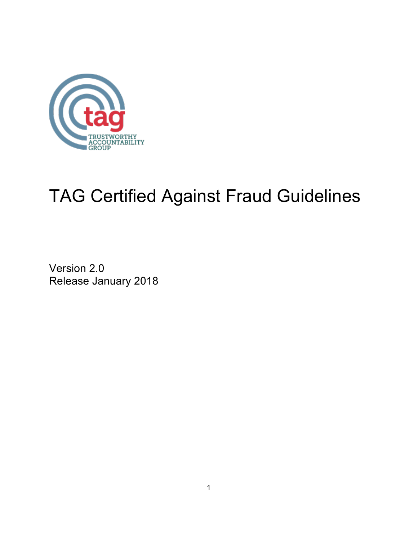

# TAG Certified Against Fraud Guidelines

Version 2.0 Release January 2018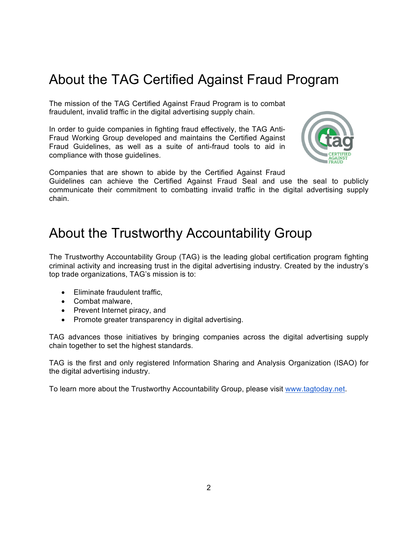# About the TAG Certified Against Fraud Program

The mission of the TAG Certified Against Fraud Program is to combat fraudulent, invalid traffic in the digital advertising supply chain.

In order to guide companies in fighting fraud effectively, the TAG Anti-Fraud Working Group developed and maintains the Certified Against Fraud Guidelines, as well as a suite of anti-fraud tools to aid in compliance with those guidelines.



Companies that are shown to abide by the Certified Against Fraud

Guidelines can achieve the Certified Against Fraud Seal and use the seal to publicly communicate their commitment to combatting invalid traffic in the digital advertising supply chain.

## About the Trustworthy Accountability Group

The Trustworthy Accountability Group (TAG) is the leading global certification program fighting criminal activity and increasing trust in the digital advertising industry. Created by the industry's top trade organizations, TAG's mission is to:

- Eliminate fraudulent traffic,
- Combat malware,
- Prevent Internet piracy, and
- Promote greater transparency in digital advertising.

TAG advances those initiatives by bringing companies across the digital advertising supply chain together to set the highest standards.

TAG is the first and only registered Information Sharing and Analysis Organization (ISAO) for the digital advertising industry.

To learn more about the Trustworthy Accountability Group, please visit www.tagtoday.net.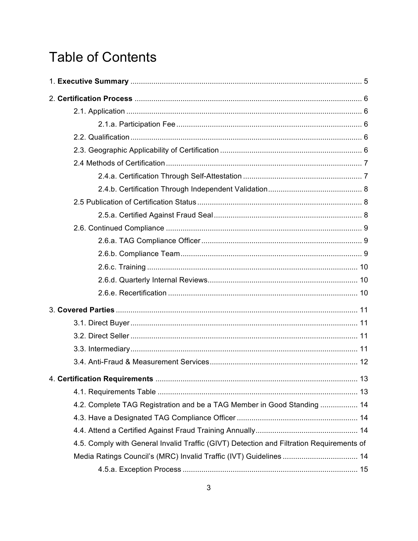# **Table of Contents**

| 4.2. Complete TAG Registration and be a TAG Member in Good Standing  14                  |  |
|------------------------------------------------------------------------------------------|--|
|                                                                                          |  |
|                                                                                          |  |
| 4.5. Comply with General Invalid Traffic (GIVT) Detection and Filtration Requirements of |  |
| Media Ratings Council's (MRC) Invalid Traffic (IVT) Guidelines  14                       |  |
|                                                                                          |  |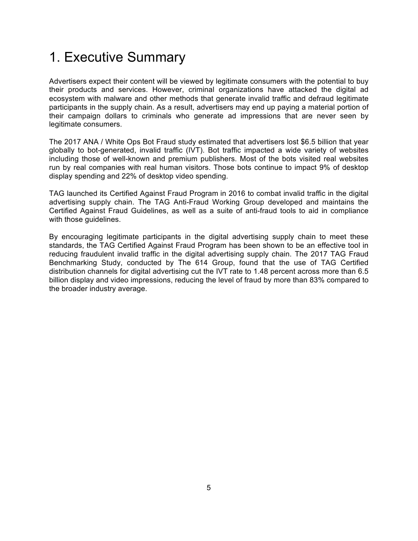# 1. Executive Summary

Advertisers expect their content will be viewed by legitimate consumers with the potential to buy their products and services. However, criminal organizations have attacked the digital ad ecosystem with malware and other methods that generate invalid traffic and defraud legitimate participants in the supply chain. As a result, advertisers may end up paying a material portion of their campaign dollars to criminals who generate ad impressions that are never seen by legitimate consumers.

The 2017 ANA / White Ops Bot Fraud study estimated that advertisers lost \$6.5 billion that year globally to bot-generated, invalid traffic (IVT). Bot traffic impacted a wide variety of websites including those of well-known and premium publishers. Most of the bots visited real websites run by real companies with real human visitors. Those bots continue to impact 9% of desktop display spending and 22% of desktop video spending.

TAG launched its Certified Against Fraud Program in 2016 to combat invalid traffic in the digital advertising supply chain. The TAG Anti-Fraud Working Group developed and maintains the Certified Against Fraud Guidelines, as well as a suite of anti-fraud tools to aid in compliance with those guidelines.

By encouraging legitimate participants in the digital advertising supply chain to meet these standards, the TAG Certified Against Fraud Program has been shown to be an effective tool in reducing fraudulent invalid traffic in the digital advertising supply chain. The 2017 TAG Fraud Benchmarking Study, conducted by The 614 Group, found that the use of TAG Certified distribution channels for digital advertising cut the IVT rate to 1.48 percent across more than 6.5 billion display and video impressions, reducing the level of fraud by more than 83% compared to the broader industry average.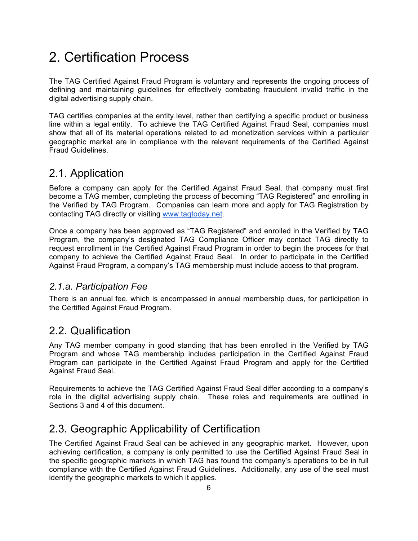# 2. Certification Process

The TAG Certified Against Fraud Program is voluntary and represents the ongoing process of defining and maintaining guidelines for effectively combating fraudulent invalid traffic in the digital advertising supply chain.

TAG certifies companies at the entity level, rather than certifying a specific product or business line within a legal entity. To achieve the TAG Certified Against Fraud Seal, companies must show that all of its material operations related to ad monetization services within a particular geographic market are in compliance with the relevant requirements of the Certified Against Fraud Guidelines.

#### 2.1. Application

Before a company can apply for the Certified Against Fraud Seal, that company must first become a TAG member, completing the process of becoming "TAG Registered" and enrolling in the Verified by TAG Program. Companies can learn more and apply for TAG Registration by contacting TAG directly or visiting www.tagtoday.net.

Once a company has been approved as "TAG Registered" and enrolled in the Verified by TAG Program, the company's designated TAG Compliance Officer may contact TAG directly to request enrollment in the Certified Against Fraud Program in order to begin the process for that company to achieve the Certified Against Fraud Seal. In order to participate in the Certified Against Fraud Program, a company's TAG membership must include access to that program.

#### *2.1.a. Participation Fee*

There is an annual fee, which is encompassed in annual membership dues, for participation in the Certified Against Fraud Program.

#### 2.2. Qualification

Any TAG member company in good standing that has been enrolled in the Verified by TAG Program and whose TAG membership includes participation in the Certified Against Fraud Program can participate in the Certified Against Fraud Program and apply for the Certified Against Fraud Seal.

Requirements to achieve the TAG Certified Against Fraud Seal differ according to a company's role in the digital advertising supply chain. These roles and requirements are outlined in Sections 3 and 4 of this document.

## 2.3. Geographic Applicability of Certification

The Certified Against Fraud Seal can be achieved in any geographic market. However, upon achieving certification, a company is only permitted to use the Certified Against Fraud Seal in the specific geographic markets in which TAG has found the company's operations to be in full compliance with the Certified Against Fraud Guidelines. Additionally, any use of the seal must identify the geographic markets to which it applies.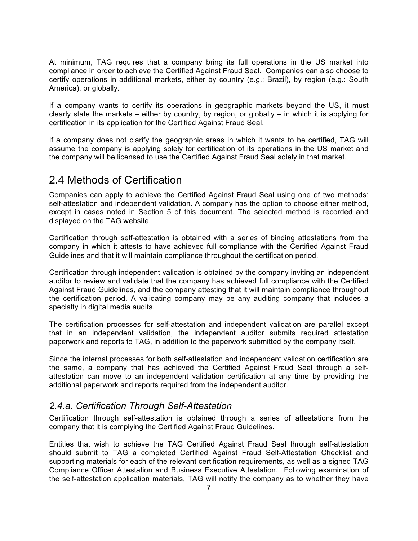At minimum, TAG requires that a company bring its full operations in the US market into compliance in order to achieve the Certified Against Fraud Seal. Companies can also choose to certify operations in additional markets, either by country (e.g.: Brazil), by region (e.g.: South America), or globally.

If a company wants to certify its operations in geographic markets beyond the US, it must clearly state the markets – either by country, by region, or globally – in which it is applying for certification in its application for the Certified Against Fraud Seal.

If a company does not clarify the geographic areas in which it wants to be certified, TAG will assume the company is applying solely for certification of its operations in the US market and the company will be licensed to use the Certified Against Fraud Seal solely in that market.

#### 2.4 Methods of Certification

Companies can apply to achieve the Certified Against Fraud Seal using one of two methods: self-attestation and independent validation. A company has the option to choose either method, except in cases noted in Section 5 of this document. The selected method is recorded and displayed on the TAG website.

Certification through self-attestation is obtained with a series of binding attestations from the company in which it attests to have achieved full compliance with the Certified Against Fraud Guidelines and that it will maintain compliance throughout the certification period.

Certification through independent validation is obtained by the company inviting an independent auditor to review and validate that the company has achieved full compliance with the Certified Against Fraud Guidelines, and the company attesting that it will maintain compliance throughout the certification period. A validating company may be any auditing company that includes a specialty in digital media audits.

The certification processes for self-attestation and independent validation are parallel except that in an independent validation, the independent auditor submits required attestation paperwork and reports to TAG, in addition to the paperwork submitted by the company itself.

Since the internal processes for both self-attestation and independent validation certification are the same, a company that has achieved the Certified Against Fraud Seal through a selfattestation can move to an independent validation certification at any time by providing the additional paperwork and reports required from the independent auditor.

#### *2.4.a. Certification Through Self-Attestation*

Certification through self-attestation is obtained through a series of attestations from the company that it is complying the Certified Against Fraud Guidelines.

Entities that wish to achieve the TAG Certified Against Fraud Seal through self-attestation should submit to TAG a completed Certified Against Fraud Self-Attestation Checklist and supporting materials for each of the relevant certification requirements, as well as a signed TAG Compliance Officer Attestation and Business Executive Attestation. Following examination of the self-attestation application materials, TAG will notify the company as to whether they have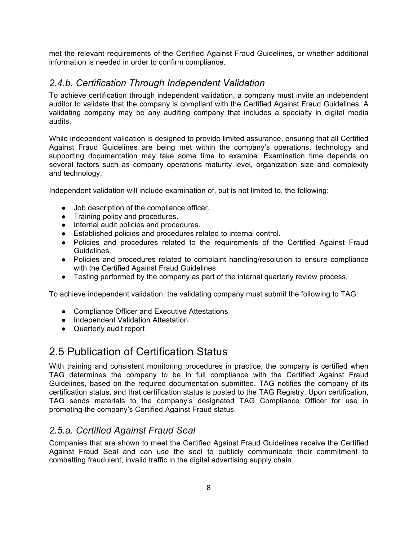met the relevant requirements of the Certified Against Fraud Guidelines, or whether additional information is needed in order to confirm compliance.

#### *2.4.b. Certification Through Independent Validation*

To achieve certification through independent validation, a company must invite an independent auditor to validate that the company is compliant with the Certified Against Fraud Guidelines. A validating company may be any auditing company that includes a specialty in digital media audits.

While independent validation is designed to provide limited assurance, ensuring that all Certified Against Fraud Guidelines are being met within the company's operations, technology and supporting documentation may take some time to examine. Examination time depends on several factors such as company operations maturity level, organization size and complexity and technology.

Independent validation will include examination of, but is not limited to, the following:

- Job description of the compliance officer.
- Training policy and procedures.
- Internal audit policies and procedures.
- Established policies and procedures related to internal control.
- Policies and procedures related to the requirements of the Certified Against Fraud Guidelines.
- Policies and procedures related to complaint handling/resolution to ensure compliance with the Certified Against Fraud Guidelines.
- Testing performed by the company as part of the internal quarterly review process.

To achieve independent validation, the validating company must submit the following to TAG:

- Compliance Officer and Executive Attestations
- Independent Validation Attestation
- Quarterly audit report

#### 2.5 Publication of Certification Status

With training and consistent monitoring procedures in practice, the company is certified when TAG determines the company to be in full compliance with the Certified Against Fraud Guidelines, based on the required documentation submitted. TAG notifies the company of its certification status, and that certification status is posted to the TAG Registry. Upon certification, TAG sends materials to the company's designated TAG Compliance Officer for use in promoting the company's Certified Against Fraud status.

#### *2.5.a. Certified Against Fraud Seal*

Companies that are shown to meet the Certified Against Fraud Guidelines receive the Certified Against Fraud Seal and can use the seal to publicly communicate their commitment to combatting fraudulent, invalid traffic in the digital advertising supply chain.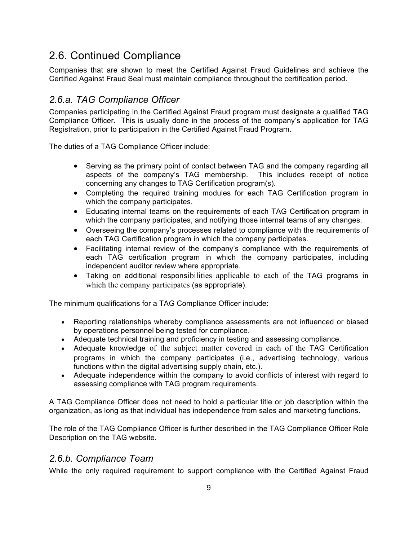## 2.6. Continued Compliance

Companies that are shown to meet the Certified Against Fraud Guidelines and achieve the Certified Against Fraud Seal must maintain compliance throughout the certification period.

#### *2.6.a. TAG Compliance Officer*

Companies participating in the Certified Against Fraud program must designate a qualified TAG Compliance Officer. This is usually done in the process of the company's application for TAG Registration, prior to participation in the Certified Against Fraud Program.

The duties of a TAG Compliance Officer include:

- Serving as the primary point of contact between TAG and the company regarding all aspects of the company's TAG membership. This includes receipt of notice concerning any changes to TAG Certification program(s).
- Completing the required training modules for each TAG Certification program in which the company participates.
- Educating internal teams on the requirements of each TAG Certification program in which the company participates, and notifying those internal teams of any changes.
- Overseeing the company's processes related to compliance with the requirements of each TAG Certification program in which the company participates.
- Facilitating internal review of the company's compliance with the requirements of each TAG certification program in which the company participates, including independent auditor review where appropriate.
- Taking on additional responsibilities applicable to each of the TAG programs in which the company participates (as appropriate).

The minimum qualifications for a TAG Compliance Officer include:

- Reporting relationships whereby compliance assessments are not influenced or biased by operations personnel being tested for compliance.
- Adequate technical training and proficiency in testing and assessing compliance.
- Adequate knowledge of the subject matter covered in each of the TAG Certification programs in which the company participates (i.e., advertising technology, various functions within the digital advertising supply chain, etc.).
- Adequate independence within the company to avoid conflicts of interest with regard to assessing compliance with TAG program requirements.

A TAG Compliance Officer does not need to hold a particular title or job description within the organization, as long as that individual has independence from sales and marketing functions.

The role of the TAG Compliance Officer is further described in the TAG Compliance Officer Role Description on the TAG website.

#### *2.6.b. Compliance Team*

While the only required requirement to support compliance with the Certified Against Fraud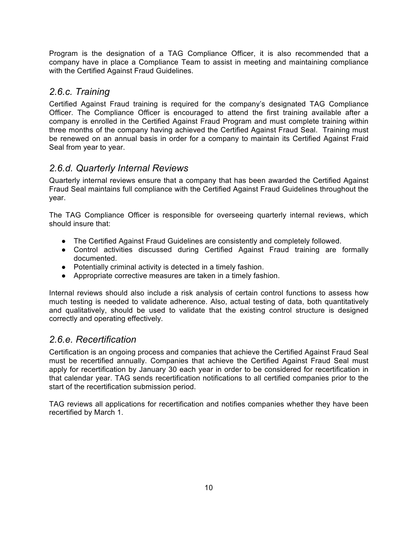Program is the designation of a TAG Compliance Officer, it is also recommended that a company have in place a Compliance Team to assist in meeting and maintaining compliance with the Certified Against Fraud Guidelines.

#### *2.6.c. Training*

Certified Against Fraud training is required for the company's designated TAG Compliance Officer. The Compliance Officer is encouraged to attend the first training available after a company is enrolled in the Certified Against Fraud Program and must complete training within three months of the company having achieved the Certified Against Fraud Seal. Training must be renewed on an annual basis in order for a company to maintain its Certified Against Fraid Seal from year to year.

#### *2.6.d. Quarterly Internal Reviews*

Quarterly internal reviews ensure that a company that has been awarded the Certified Against Fraud Seal maintains full compliance with the Certified Against Fraud Guidelines throughout the year.

The TAG Compliance Officer is responsible for overseeing quarterly internal reviews, which should insure that:

- The Certified Against Fraud Guidelines are consistently and completely followed.
- Control activities discussed during Certified Against Fraud training are formally documented.
- Potentially criminal activity is detected in a timely fashion.
- Appropriate corrective measures are taken in a timely fashion.

Internal reviews should also include a risk analysis of certain control functions to assess how much testing is needed to validate adherence. Also, actual testing of data, both quantitatively and qualitatively, should be used to validate that the existing control structure is designed correctly and operating effectively.

#### *2.6.e. Recertification*

Certification is an ongoing process and companies that achieve the Certified Against Fraud Seal must be recertified annually. Companies that achieve the Certified Against Fraud Seal must apply for recertification by January 30 each year in order to be considered for recertification in that calendar year. TAG sends recertification notifications to all certified companies prior to the start of the recertification submission period.

TAG reviews all applications for recertification and notifies companies whether they have been recertified by March 1.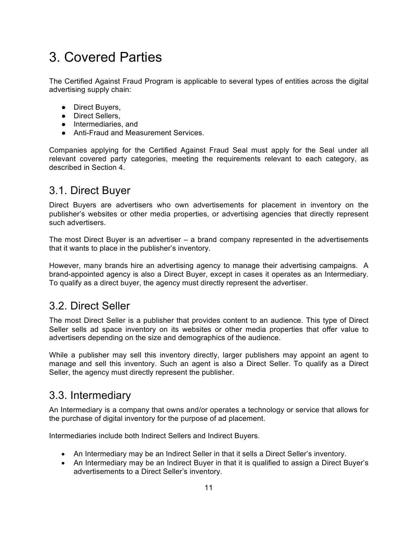# 3. Covered Parties

The Certified Against Fraud Program is applicable to several types of entities across the digital advertising supply chain:

- Direct Buyers,
- Direct Sellers,
- Intermediaries, and
- Anti-Fraud and Measurement Services.

Companies applying for the Certified Against Fraud Seal must apply for the Seal under all relevant covered party categories, meeting the requirements relevant to each category, as described in Section 4.

#### 3.1. Direct Buyer

Direct Buyers are advertisers who own advertisements for placement in inventory on the publisher's websites or other media properties, or advertising agencies that directly represent such advertisers.

The most Direct Buyer is an advertiser – a brand company represented in the advertisements that it wants to place in the publisher's inventory.

However, many brands hire an advertising agency to manage their advertising campaigns. A brand-appointed agency is also a Direct Buyer, except in cases it operates as an Intermediary. To qualify as a direct buyer, the agency must directly represent the advertiser.

#### 3.2. Direct Seller

The most Direct Seller is a publisher that provides content to an audience. This type of Direct Seller sells ad space inventory on its websites or other media properties that offer value to advertisers depending on the size and demographics of the audience.

While a publisher may sell this inventory directly, larger publishers may appoint an agent to manage and sell this inventory. Such an agent is also a Direct Seller. To qualify as a Direct Seller, the agency must directly represent the publisher.

#### 3.3. Intermediary

An Intermediary is a company that owns and/or operates a technology or service that allows for the purchase of digital inventory for the purpose of ad placement.

Intermediaries include both Indirect Sellers and Indirect Buyers.

- An Intermediary may be an Indirect Seller in that it sells a Direct Seller's inventory.
- An Intermediary may be an Indirect Buyer in that it is qualified to assign a Direct Buyer's advertisements to a Direct Seller's inventory.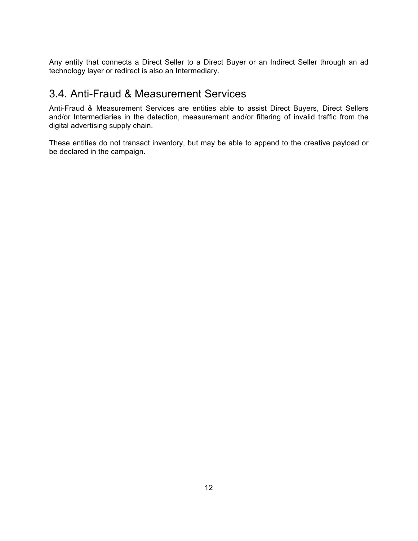Any entity that connects a Direct Seller to a Direct Buyer or an Indirect Seller through an ad technology layer or redirect is also an Intermediary.

## 3.4. Anti-Fraud & Measurement Services

Anti-Fraud & Measurement Services are entities able to assist Direct Buyers, Direct Sellers and/or Intermediaries in the detection, measurement and/or filtering of invalid traffic from the digital advertising supply chain.

These entities do not transact inventory, but may be able to append to the creative payload or be declared in the campaign.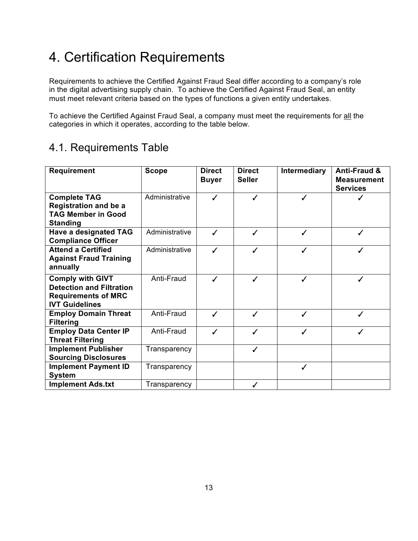# 4. Certification Requirements

Requirements to achieve the Certified Against Fraud Seal differ according to a company's role in the digital advertising supply chain. To achieve the Certified Against Fraud Seal, an entity must meet relevant criteria based on the types of functions a given entity undertakes.

To achieve the Certified Against Fraud Seal, a company must meet the requirements for all the categories in which it operates, according to the table below.

## 4.1. Requirements Table

| <b>Requirement</b>                                                                                                | <b>Scope</b>   | <b>Direct</b><br><b>Buyer</b> | <b>Direct</b><br><b>Seller</b> | <b>Intermediary</b> | <b>Anti-Fraud &amp;</b><br><b>Measurement</b><br><b>Services</b> |
|-------------------------------------------------------------------------------------------------------------------|----------------|-------------------------------|--------------------------------|---------------------|------------------------------------------------------------------|
| <b>Complete TAG</b><br><b>Registration and be a</b><br><b>TAG Member in Good</b><br><b>Standing</b>               | Administrative | ✓                             | ✓                              | ✓                   |                                                                  |
| <b>Have a designated TAG</b><br><b>Compliance Officer</b>                                                         | Administrative | ✓                             | ✓                              | ✓                   | ✓                                                                |
| <b>Attend a Certified</b><br><b>Against Fraud Training</b><br>annually                                            | Administrative | ℐ                             | ℐ                              | ✓                   |                                                                  |
| <b>Comply with GIVT</b><br><b>Detection and Filtration</b><br><b>Requirements of MRC</b><br><b>IVT Guidelines</b> | Anti-Fraud     | ✓                             | ✓                              | ✓                   | ✓                                                                |
| <b>Employ Domain Threat</b><br><b>Filtering</b>                                                                   | Anti-Fraud     | ✓                             | ✓                              | ✓                   | ✓                                                                |
| <b>Employ Data Center IP</b><br><b>Threat Filtering</b>                                                           | Anti-Fraud     | ✓                             | ✓                              | ✓                   |                                                                  |
| <b>Implement Publisher</b><br><b>Sourcing Disclosures</b>                                                         | Transparency   |                               | ✓                              |                     |                                                                  |
| <b>Implement Payment ID</b><br><b>System</b>                                                                      | Transparency   |                               |                                | ✓                   |                                                                  |
| <b>Implement Ads.txt</b>                                                                                          | Transparency   |                               |                                |                     |                                                                  |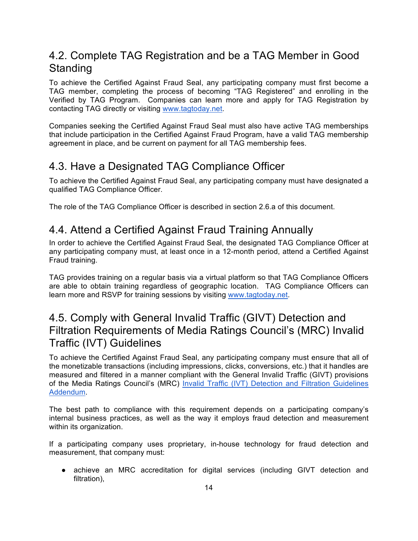## 4.2. Complete TAG Registration and be a TAG Member in Good **Standing**

To achieve the Certified Against Fraud Seal, any participating company must first become a TAG member, completing the process of becoming "TAG Registered" and enrolling in the Verified by TAG Program. Companies can learn more and apply for TAG Registration by contacting TAG directly or visiting www.tagtoday.net.

Companies seeking the Certified Against Fraud Seal must also have active TAG memberships that include participation in the Certified Against Fraud Program, have a valid TAG membership agreement in place, and be current on payment for all TAG membership fees.

## 4.3. Have a Designated TAG Compliance Officer

To achieve the Certified Against Fraud Seal, any participating company must have designated a qualified TAG Compliance Officer.

The role of the TAG Compliance Officer is described in section 2.6.a of this document.

## 4.4. Attend a Certified Against Fraud Training Annually

In order to achieve the Certified Against Fraud Seal, the designated TAG Compliance Officer at any participating company must, at least once in a 12-month period, attend a Certified Against Fraud training.

TAG provides training on a regular basis via a virtual platform so that TAG Compliance Officers are able to obtain training regardless of geographic location. TAG Compliance Officers can learn more and RSVP for training sessions by visiting www.tagtoday.net.

#### 4.5. Comply with General Invalid Traffic (GIVT) Detection and Filtration Requirements of Media Ratings Council's (MRC) Invalid Traffic (IVT) Guidelines

To achieve the Certified Against Fraud Seal, any participating company must ensure that all of the monetizable transactions (including impressions, clicks, conversions, etc.) that it handles are measured and filtered in a manner compliant with the General Invalid Traffic (GIVT) provisions of the Media Ratings Council's (MRC) Invalid Traffic (IVT) Detection and Filtration Guidelines Addendum.

The best path to compliance with this requirement depends on a participating company's internal business practices, as well as the way it employs fraud detection and measurement within its organization.

If a participating company uses proprietary, in-house technology for fraud detection and measurement, that company must:

● achieve an MRC accreditation for digital services (including GIVT detection and filtration),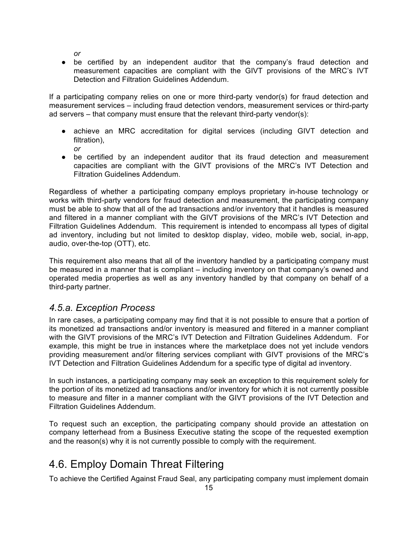*or*

● be certified by an independent auditor that the company's fraud detection and measurement capacities are compliant with the GIVT provisions of the MRC's IVT Detection and Filtration Guidelines Addendum.

If a participating company relies on one or more third-party vendor(s) for fraud detection and measurement services – including fraud detection vendors, measurement services or third-party ad servers – that company must ensure that the relevant third-party vendor(s):

- achieve an MRC accreditation for digital services (including GIVT detection and filtration).
	- *or*
- be certified by an independent auditor that its fraud detection and measurement capacities are compliant with the GIVT provisions of the MRC's IVT Detection and Filtration Guidelines Addendum.

Regardless of whether a participating company employs proprietary in-house technology or works with third-party vendors for fraud detection and measurement, the participating company must be able to show that all of the ad transactions and/or inventory that it handles is measured and filtered in a manner compliant with the GIVT provisions of the MRC's IVT Detection and Filtration Guidelines Addendum. This requirement is intended to encompass all types of digital ad inventory, including but not limited to desktop display, video, mobile web, social, in-app, audio, over-the-top (OTT), etc.

This requirement also means that all of the inventory handled by a participating company must be measured in a manner that is compliant – including inventory on that company's owned and operated media properties as well as any inventory handled by that company on behalf of a third-party partner.

#### *4.5.a. Exception Process*

In rare cases, a participating company may find that it is not possible to ensure that a portion of its monetized ad transactions and/or inventory is measured and filtered in a manner compliant with the GIVT provisions of the MRC's IVT Detection and Filtration Guidelines Addendum. For example, this might be true in instances where the marketplace does not yet include vendors providing measurement and/or filtering services compliant with GIVT provisions of the MRC's IVT Detection and Filtration Guidelines Addendum for a specific type of digital ad inventory.

In such instances, a participating company may seek an exception to this requirement solely for the portion of its monetized ad transactions and/or inventory for which it is not currently possible to measure and filter in a manner compliant with the GIVT provisions of the IVT Detection and Filtration Guidelines Addendum.

To request such an exception, the participating company should provide an attestation on company letterhead from a Business Executive stating the scope of the requested exemption and the reason(s) why it is not currently possible to comply with the requirement.

## 4.6. Employ Domain Threat Filtering

To achieve the Certified Against Fraud Seal, any participating company must implement domain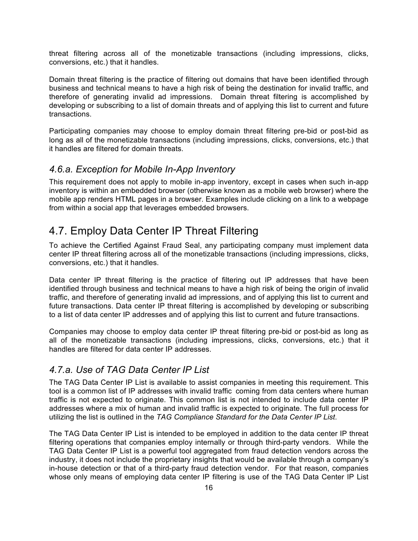threat filtering across all of the monetizable transactions (including impressions, clicks, conversions, etc.) that it handles.

Domain threat filtering is the practice of filtering out domains that have been identified through business and technical means to have a high risk of being the destination for invalid traffic, and therefore of generating invalid ad impressions. Domain threat filtering is accomplished by developing or subscribing to a list of domain threats and of applying this list to current and future transactions.

Participating companies may choose to employ domain threat filtering pre-bid or post-bid as long as all of the monetizable transactions (including impressions, clicks, conversions, etc.) that it handles are filtered for domain threats.

#### *4.6.a. Exception for Mobile In-App Inventory*

This requirement does not apply to mobile in-app inventory, except in cases when such in-app inventory is within an embedded browser (otherwise known as a mobile web browser) where the mobile app renders HTML pages in a browser. Examples include clicking on a link to a webpage from within a social app that leverages embedded browsers.

#### 4.7. Employ Data Center IP Threat Filtering

To achieve the Certified Against Fraud Seal, any participating company must implement data center IP threat filtering across all of the monetizable transactions (including impressions, clicks, conversions, etc.) that it handles.

Data center IP threat filtering is the practice of filtering out IP addresses that have been identified through business and technical means to have a high risk of being the origin of invalid traffic, and therefore of generating invalid ad impressions, and of applying this list to current and future transactions. Data center IP threat filtering is accomplished by developing or subscribing to a list of data center IP addresses and of applying this list to current and future transactions.

Companies may choose to employ data center IP threat filtering pre-bid or post-bid as long as all of the monetizable transactions (including impressions, clicks, conversions, etc.) that it handles are filtered for data center IP addresses.

#### *4.7.a. Use of TAG Data Center IP List*

The TAG Data Center IP List is available to assist companies in meeting this requirement. This tool is a common list of IP addresses with invalid traffic coming from data centers where human traffic is not expected to originate. This common list is not intended to include data center IP addresses where a mix of human and invalid traffic is expected to originate. The full process for utilizing the list is outlined in the *TAG Compliance Standard for the Data Center IP List*.

The TAG Data Center IP List is intended to be employed in addition to the data center IP threat filtering operations that companies employ internally or through third-party vendors. While the TAG Data Center IP List is a powerful tool aggregated from fraud detection vendors across the industry, it does not include the proprietary insights that would be available through a company's in-house detection or that of a third-party fraud detection vendor. For that reason, companies whose only means of employing data center IP filtering is use of the TAG Data Center IP List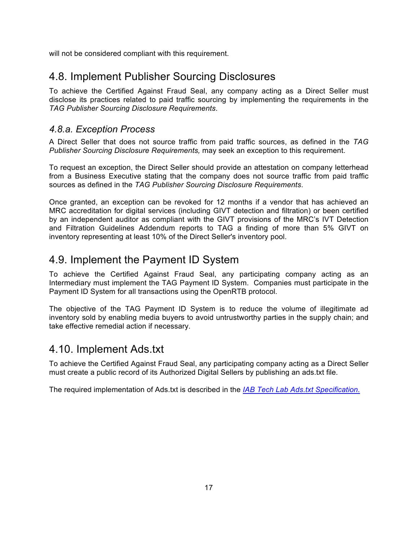will not be considered compliant with this requirement.

## 4.8. Implement Publisher Sourcing Disclosures

To achieve the Certified Against Fraud Seal, any company acting as a Direct Seller must disclose its practices related to paid traffic sourcing by implementing the requirements in the *TAG Publisher Sourcing Disclosure Requirements*.

#### *4.8.a. Exception Process*

A Direct Seller that does not source traffic from paid traffic sources, as defined in the *TAG Publisher Sourcing Disclosure Requirements,* may seek an exception to this requirement.

To request an exception, the Direct Seller should provide an attestation on company letterhead from a Business Executive stating that the company does not source traffic from paid traffic sources as defined in the *TAG Publisher Sourcing Disclosure Requirements*.

Once granted, an exception can be revoked for 12 months if a vendor that has achieved an MRC accreditation for digital services (including GIVT detection and filtration) or been certified by an independent auditor as compliant with the GIVT provisions of the MRC's IVT Detection and Filtration Guidelines Addendum reports to TAG a finding of more than 5% GIVT on inventory representing at least 10% of the Direct Seller's inventory pool.

## 4.9. Implement the Payment ID System

To achieve the Certified Against Fraud Seal, any participating company acting as an Intermediary must implement the TAG Payment ID System. Companies must participate in the Payment ID System for all transactions using the OpenRTB protocol.

The objective of the TAG Payment ID System is to reduce the volume of illegitimate ad inventory sold by enabling media buyers to avoid untrustworthy parties in the supply chain; and take effective remedial action if necessary.

#### 4.10. Implement Ads.txt

To achieve the Certified Against Fraud Seal, any participating company acting as a Direct Seller must create a public record of its Authorized Digital Sellers by publishing an ads.txt file.

The required implementation of Ads.txt is described in the *IAB Tech Lab Ads.txt Specification.*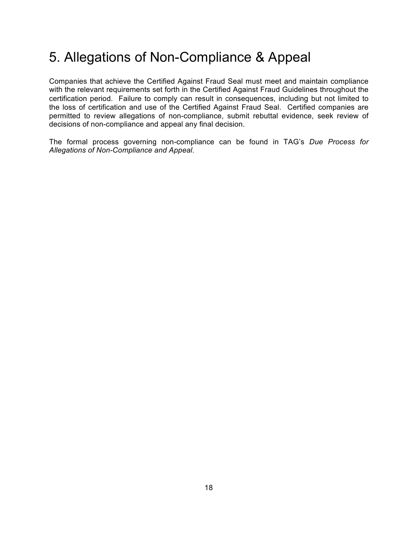## 5. Allegations of Non-Compliance & Appeal

Companies that achieve the Certified Against Fraud Seal must meet and maintain compliance with the relevant requirements set forth in the Certified Against Fraud Guidelines throughout the certification period. Failure to comply can result in consequences, including but not limited to the loss of certification and use of the Certified Against Fraud Seal. Certified companies are permitted to review allegations of non-compliance, submit rebuttal evidence, seek review of decisions of non-compliance and appeal any final decision.

The formal process governing non-compliance can be found in TAG's *Due Process for Allegations of Non-Compliance and Appeal*.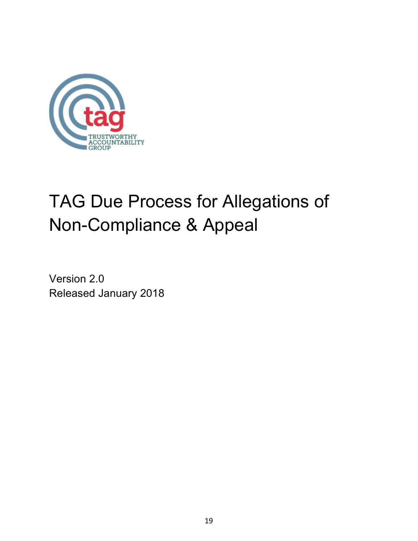

# TAG Due Process for Allegations of Non-Compliance & Appeal

Version 2.0 Released January 2018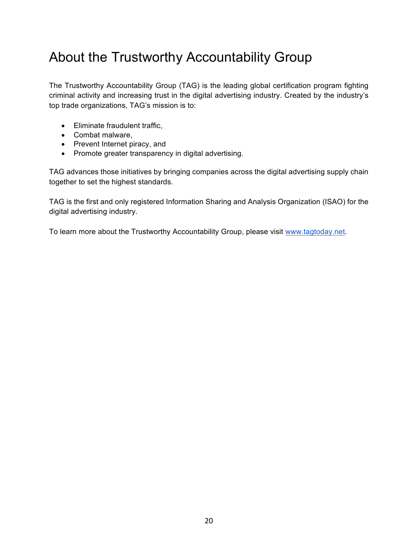# About the Trustworthy Accountability Group

The Trustworthy Accountability Group (TAG) is the leading global certification program fighting criminal activity and increasing trust in the digital advertising industry. Created by the industry's top trade organizations, TAG's mission is to:

- Eliminate fraudulent traffic,
- Combat malware,
- Prevent Internet piracy, and
- Promote greater transparency in digital advertising.

TAG advances those initiatives by bringing companies across the digital advertising supply chain together to set the highest standards.

TAG is the first and only registered Information Sharing and Analysis Organization (ISAO) for the digital advertising industry.

To learn more about the Trustworthy Accountability Group, please visit www.tagtoday.net.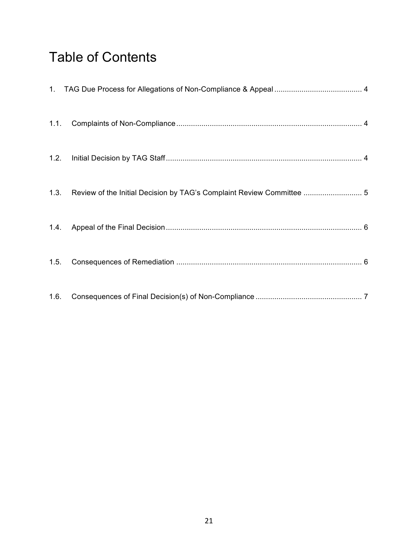# Table of Contents

|      | 1.3. Review of the Initial Decision by TAG's Complaint Review Committee  5 |  |
|------|----------------------------------------------------------------------------|--|
|      |                                                                            |  |
| 1.5. |                                                                            |  |
| 1.6. |                                                                            |  |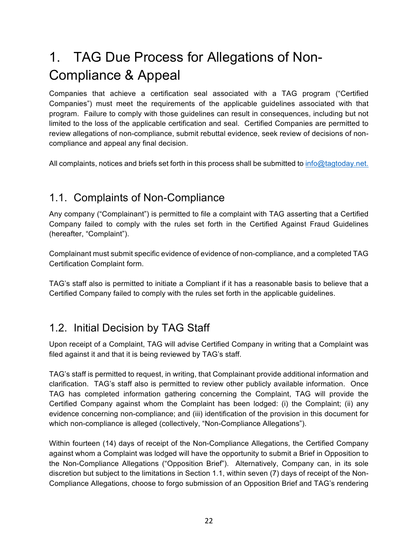# 1. TAG Due Process for Allegations of Non-Compliance & Appeal

Companies that achieve a certification seal associated with a TAG program ("Certified Companies") must meet the requirements of the applicable guidelines associated with that program. Failure to comply with those guidelines can result in consequences, including but not limited to the loss of the applicable certification and seal. Certified Companies are permitted to review allegations of non-compliance, submit rebuttal evidence, seek review of decisions of noncompliance and appeal any final decision.

All complaints, notices and briefs set forth in this process shall be submitted to info@tagtoday.net.

## 1.1. Complaints of Non-Compliance

Any company ("Complainant") is permitted to file a complaint with TAG asserting that a Certified Company failed to comply with the rules set forth in the Certified Against Fraud Guidelines (hereafter, "Complaint").

Complainant must submit specific evidence of evidence of non-compliance, and a completed TAG Certification Complaint form.

TAG's staff also is permitted to initiate a Compliant if it has a reasonable basis to believe that a Certified Company failed to comply with the rules set forth in the applicable guidelines.

## 1.2. Initial Decision by TAG Staff

Upon receipt of a Complaint, TAG will advise Certified Company in writing that a Complaint was filed against it and that it is being reviewed by TAG's staff.

TAG's staff is permitted to request, in writing, that Complainant provide additional information and clarification. TAG's staff also is permitted to review other publicly available information. Once TAG has completed information gathering concerning the Complaint, TAG will provide the Certified Company against whom the Complaint has been lodged: (i) the Complaint; (ii) any evidence concerning non-compliance; and (iii) identification of the provision in this document for which non-compliance is alleged (collectively, "Non-Compliance Allegations").

Within fourteen (14) days of receipt of the Non-Compliance Allegations, the Certified Company against whom a Complaint was lodged will have the opportunity to submit a Brief in Opposition to the Non-Compliance Allegations ("Opposition Brief"). Alternatively, Company can, in its sole discretion but subject to the limitations in Section 1.1, within seven (7) days of receipt of the Non-Compliance Allegations, choose to forgo submission of an Opposition Brief and TAG's rendering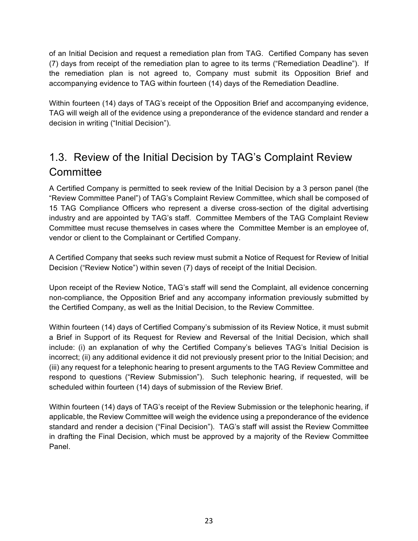of an Initial Decision and request a remediation plan from TAG. Certified Company has seven (7) days from receipt of the remediation plan to agree to its terms ("Remediation Deadline"). If the remediation plan is not agreed to, Company must submit its Opposition Brief and accompanying evidence to TAG within fourteen (14) days of the Remediation Deadline.

Within fourteen (14) days of TAG's receipt of the Opposition Brief and accompanying evidence, TAG will weigh all of the evidence using a preponderance of the evidence standard and render a decision in writing ("Initial Decision").

## 1.3. Review of the Initial Decision by TAG's Complaint Review **Committee**

A Certified Company is permitted to seek review of the Initial Decision by a 3 person panel (the "Review Committee Panel") of TAG's Complaint Review Committee, which shall be composed of 15 TAG Compliance Officers who represent a diverse cross-section of the digital advertising industry and are appointed by TAG's staff. Committee Members of the TAG Complaint Review Committee must recuse themselves in cases where the Committee Member is an employee of, vendor or client to the Complainant or Certified Company.

A Certified Company that seeks such review must submit a Notice of Request for Review of Initial Decision ("Review Notice") within seven (7) days of receipt of the Initial Decision.

Upon receipt of the Review Notice, TAG's staff will send the Complaint, all evidence concerning non-compliance, the Opposition Brief and any accompany information previously submitted by the Certified Company, as well as the Initial Decision, to the Review Committee.

Within fourteen (14) days of Certified Company's submission of its Review Notice, it must submit a Brief in Support of its Request for Review and Reversal of the Initial Decision, which shall include: (i) an explanation of why the Certified Company's believes TAG's Initial Decision is incorrect; (ii) any additional evidence it did not previously present prior to the Initial Decision; and (iii) any request for a telephonic hearing to present arguments to the TAG Review Committee and respond to questions ("Review Submission"). Such telephonic hearing, if requested, will be scheduled within fourteen (14) days of submission of the Review Brief.

Within fourteen (14) days of TAG's receipt of the Review Submission or the telephonic hearing, if applicable, the Review Committee will weigh the evidence using a preponderance of the evidence standard and render a decision ("Final Decision"). TAG's staff will assist the Review Committee in drafting the Final Decision, which must be approved by a majority of the Review Committee Panel.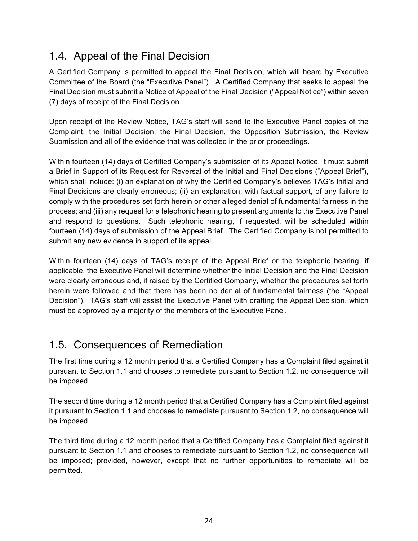## 1.4. Appeal of the Final Decision

A Certified Company is permitted to appeal the Final Decision, which will heard by Executive Committee of the Board (the "Executive Panel"). A Certified Company that seeks to appeal the Final Decision must submit a Notice of Appeal of the Final Decision ("Appeal Notice") within seven (7) days of receipt of the Final Decision.

Upon receipt of the Review Notice, TAG's staff will send to the Executive Panel copies of the Complaint, the Initial Decision, the Final Decision, the Opposition Submission, the Review Submission and all of the evidence that was collected in the prior proceedings.

Within fourteen (14) days of Certified Company's submission of its Appeal Notice, it must submit a Brief in Support of its Request for Reversal of the Initial and Final Decisions ("Appeal Brief"), which shall include: (i) an explanation of why the Certified Company's believes TAG's Initial and Final Decisions are clearly erroneous; (ii) an explanation, with factual support, of any failure to comply with the procedures set forth herein or other alleged denial of fundamental fairness in the process; and (iii) any request for a telephonic hearing to present arguments to the Executive Panel and respond to questions. Such telephonic hearing, if requested, will be scheduled within fourteen (14) days of submission of the Appeal Brief. The Certified Company is not permitted to submit any new evidence in support of its appeal.

Within fourteen (14) days of TAG's receipt of the Appeal Brief or the telephonic hearing, if applicable, the Executive Panel will determine whether the Initial Decision and the Final Decision were clearly erroneous and, if raised by the Certified Company, whether the procedures set forth herein were followed and that there has been no denial of fundamental fairness (the "Appeal Decision"). TAG's staff will assist the Executive Panel with drafting the Appeal Decision, which must be approved by a majority of the members of the Executive Panel.

## 1.5. Consequences of Remediation

The first time during a 12 month period that a Certified Company has a Complaint filed against it pursuant to Section 1.1 and chooses to remediate pursuant to Section 1.2, no consequence will be imposed.

The second time during a 12 month period that a Certified Company has a Complaint filed against it pursuant to Section 1.1 and chooses to remediate pursuant to Section 1.2, no consequence will be imposed.

The third time during a 12 month period that a Certified Company has a Complaint filed against it pursuant to Section 1.1 and chooses to remediate pursuant to Section 1.2, no consequence will be imposed; provided, however, except that no further opportunities to remediate will be permitted.